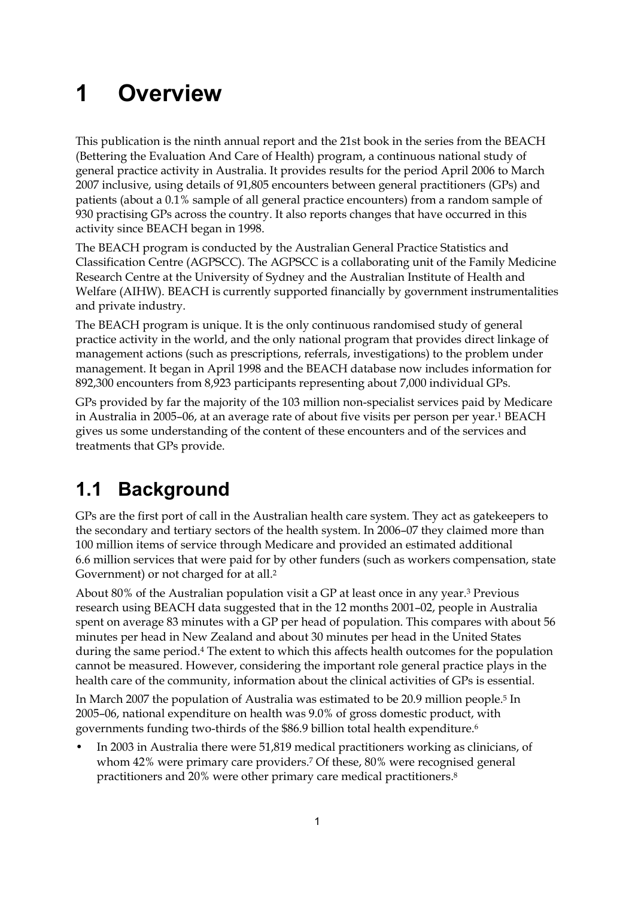# **1 Overview**

This publication is the ninth annual report and the 21st book in the series from the BEACH (Bettering the Evaluation And Care of Health) program, a continuous national study of general practice activity in Australia. It provides results for the period April 2006 to March 2007 inclusive, using details of 91,805 encounters between general practitioners (GPs) and patients (about a 0.1% sample of all general practice encounters) from a random sample of 930 practising GPs across the country. It also reports changes that have occurred in this activity since BEACH began in 1998.

The BEACH program is conducted by the Australian General Practice Statistics and Classification Centre (AGPSCC). The AGPSCC is a collaborating unit of the Family Medicine Research Centre at the University of Sydney and the Australian Institute of Health and Welfare (AIHW). BEACH is currently supported financially by government instrumentalities and private industry.

The BEACH program is unique. It is the only continuous randomised study of general practice activity in the world, and the only national program that provides direct linkage of management actions (such as prescriptions, referrals, investigations) to the problem under management. It began in April 1998 and the BEACH database now includes information for 892,300 encounters from 8,923 participants representing about 7,000 individual GPs.

GPs provided by far the majority of the 103 million non-specialist services paid by Medicare in Australia in 2005–06, at an average rate of about five visits per person per year.1 BEACH gives us some understanding of the content of these encounters and of the services and treatments that GPs provide.

# **1.1 Background**

GPs are the first port of call in the Australian health care system. They act as gatekeepers to the secondary and tertiary sectors of the health system. In 2006–07 they claimed more than 100 million items of service through Medicare and provided an estimated additional 6.6 million services that were paid for by other funders (such as workers compensation, state Government) or not charged for at all.2

About 80% of the Australian population visit a GP at least once in any year.3 Previous research using BEACH data suggested that in the 12 months 2001–02, people in Australia spent on average 83 minutes with a GP per head of population. This compares with about 56 minutes per head in New Zealand and about 30 minutes per head in the United States during the same period.4 The extent to which this affects health outcomes for the population cannot be measured. However, considering the important role general practice plays in the health care of the community, information about the clinical activities of GPs is essential.

In March 2007 the population of Australia was estimated to be 20.9 million people.5 In 2005–06, national expenditure on health was 9.0% of gross domestic product, with governments funding two-thirds of the \$86.9 billion total health expenditure.6

• In 2003 in Australia there were 51,819 medical practitioners working as clinicians, of whom 42% were primary care providers.7 Of these, 80% were recognised general practitioners and 20% were other primary care medical practitioners.8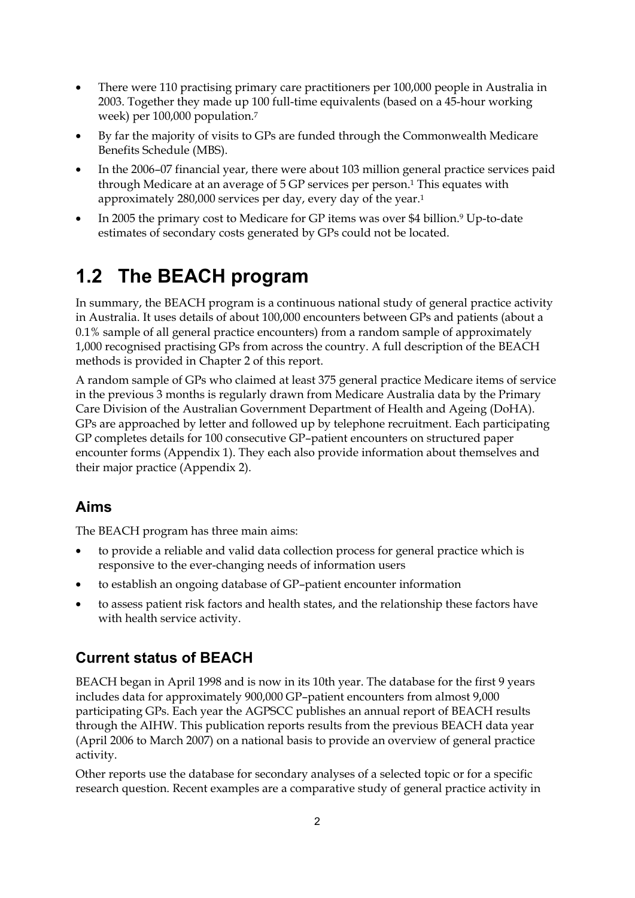- There were 110 practising primary care practitioners per 100,000 people in Australia in 2003. Together they made up 100 full-time equivalents (based on a 45-hour working week) per 100,000 population.7
- By far the majority of visits to GPs are funded through the Commonwealth Medicare Benefits Schedule (MBS).
- In the 2006–07 financial year, there were about 103 million general practice services paid through Medicare at an average of 5 GP services per person.<sup>1</sup> This equates with approximately 280,000 services per day, every day of the year.1
- In 2005 the primary cost to Medicare for GP items was over \$4 billion.<sup>9</sup> Up-to-date estimates of secondary costs generated by GPs could not be located.

# **1.2 The BEACH program**

In summary, the BEACH program is a continuous national study of general practice activity in Australia. It uses details of about 100,000 encounters between GPs and patients (about a 0.1% sample of all general practice encounters) from a random sample of approximately 1,000 recognised practising GPs from across the country. A full description of the BEACH methods is provided in Chapter 2 of this report.

A random sample of GPs who claimed at least 375 general practice Medicare items of service in the previous 3 months is regularly drawn from Medicare Australia data by the Primary Care Division of the Australian Government Department of Health and Ageing (DoHA). GPs are approached by letter and followed up by telephone recruitment. Each participating GP completes details for 100 consecutive GP–patient encounters on structured paper encounter forms (Appendix 1). They each also provide information about themselves and their major practice (Appendix 2).

## **Aims**

The BEACH program has three main aims:

- to provide a reliable and valid data collection process for general practice which is responsive to the ever-changing needs of information users
- to establish an ongoing database of GP–patient encounter information
- to assess patient risk factors and health states, and the relationship these factors have with health service activity.

### **Current status of BEACH**

BEACH began in April 1998 and is now in its 10th year. The database for the first 9 years includes data for approximately 900,000 GP–patient encounters from almost 9,000 participating GPs. Each year the AGPSCC publishes an annual report of BEACH results through the AIHW. This publication reports results from the previous BEACH data year (April 2006 to March 2007) on a national basis to provide an overview of general practice activity.

Other reports use the database for secondary analyses of a selected topic or for a specific research question. Recent examples are a comparative study of general practice activity in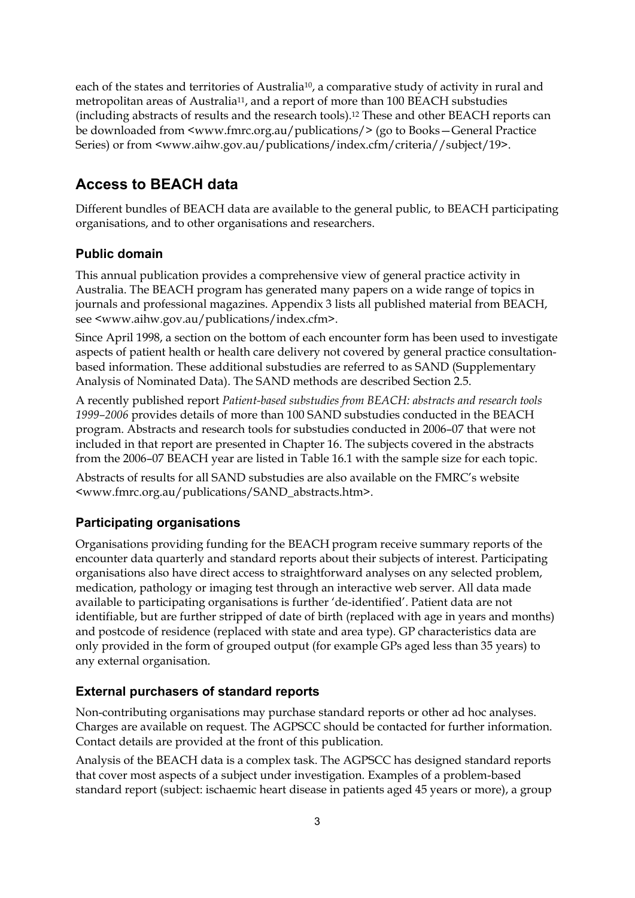each of the states and territories of Australia<sup>10</sup>, a comparative study of activity in rural and metropolitan areas of Australia11, and a report of more than 100 BEACH substudies (including abstracts of results and the research tools).12 These and other BEACH reports can be downloaded from <www.fmrc.org.au/publications/> (go to Books—General Practice Series) or from <www.aihw.gov.au/publications/index.cfm/criteria//subject/19>.

## **Access to BEACH data**

Different bundles of BEACH data are available to the general public, to BEACH participating organisations, and to other organisations and researchers.

### **Public domain**

This annual publication provides a comprehensive view of general practice activity in Australia. The BEACH program has generated many papers on a wide range of topics in journals and professional magazines. Appendix 3 lists all published material from BEACH, see <www.aihw.gov.au/publications/index.cfm>.

Since April 1998, a section on the bottom of each encounter form has been used to investigate aspects of patient health or health care delivery not covered by general practice consultationbased information. These additional substudies are referred to as SAND (Supplementary Analysis of Nominated Data). The SAND methods are described Section 2.5.

A recently published report *Patient-based substudies from BEACH: abstracts and research tools 1999–2006* provides details of more than 100 SAND substudies conducted in the BEACH program. Abstracts and research tools for substudies conducted in 2006–07 that were not included in that report are presented in Chapter 16. The subjects covered in the abstracts from the 2006–07 BEACH year are listed in Table 16.1 with the sample size for each topic.

Abstracts of results for all SAND substudies are also available on the FMRC's website <www.fmrc.org.au/publications/SAND\_abstracts.htm>.

### **Participating organisations**

Organisations providing funding for the BEACH program receive summary reports of the encounter data quarterly and standard reports about their subjects of interest. Participating organisations also have direct access to straightforward analyses on any selected problem, medication, pathology or imaging test through an interactive web server. All data made available to participating organisations is further 'de-identified'. Patient data are not identifiable, but are further stripped of date of birth (replaced with age in years and months) and postcode of residence (replaced with state and area type). GP characteristics data are only provided in the form of grouped output (for example GPs aged less than 35 years) to any external organisation.

### **External purchasers of standard reports**

Non-contributing organisations may purchase standard reports or other ad hoc analyses. Charges are available on request. The AGPSCC should be contacted for further information. Contact details are provided at the front of this publication.

Analysis of the BEACH data is a complex task. The AGPSCC has designed standard reports that cover most aspects of a subject under investigation. Examples of a problem-based standard report (subject: ischaemic heart disease in patients aged 45 years or more), a group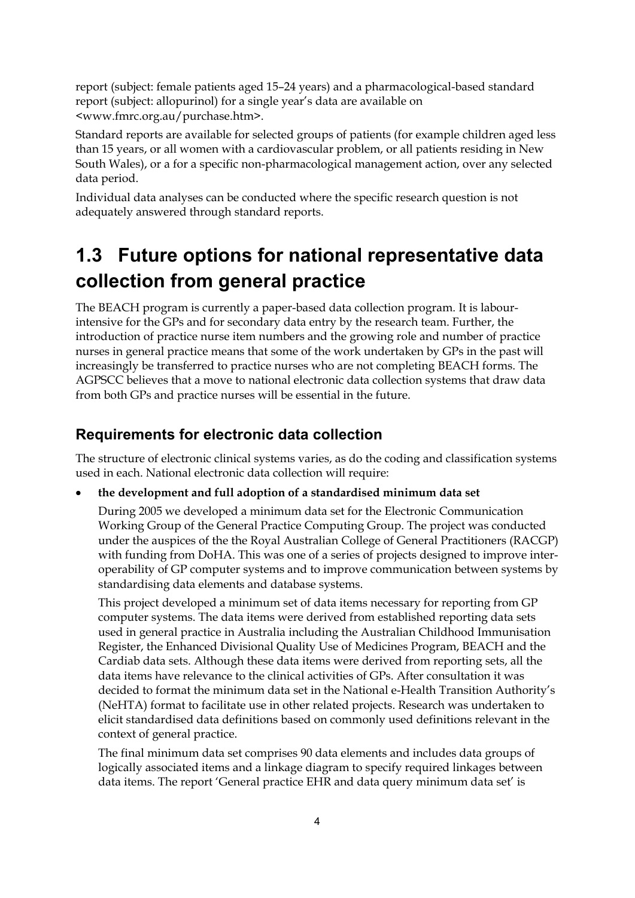report (subject: female patients aged 15–24 years) and a pharmacological-based standard report (subject: allopurinol) for a single year's data are available on <www.fmrc.org.au/purchase.htm>.

Standard reports are available for selected groups of patients (for example children aged less than 15 years, or all women with a cardiovascular problem, or all patients residing in New South Wales), or a for a specific non-pharmacological management action, over any selected data period.

Individual data analyses can be conducted where the specific research question is not adequately answered through standard reports.

## **1.3 Future options for national representative data collection from general practice**

The BEACH program is currently a paper-based data collection program. It is labourintensive for the GPs and for secondary data entry by the research team. Further, the introduction of practice nurse item numbers and the growing role and number of practice nurses in general practice means that some of the work undertaken by GPs in the past will increasingly be transferred to practice nurses who are not completing BEACH forms. The AGPSCC believes that a move to national electronic data collection systems that draw data from both GPs and practice nurses will be essential in the future.

### **Requirements for electronic data collection**

The structure of electronic clinical systems varies, as do the coding and classification systems used in each. National electronic data collection will require:

• **the development and full adoption of a standardised minimum data set** 

 During 2005 we developed a minimum data set for the Electronic Communication Working Group of the General Practice Computing Group. The project was conducted under the auspices of the the Royal Australian College of General Practitioners (RACGP) with funding from DoHA. This was one of a series of projects designed to improve interoperability of GP computer systems and to improve communication between systems by standardising data elements and database systems.

 This project developed a minimum set of data items necessary for reporting from GP computer systems. The data items were derived from established reporting data sets used in general practice in Australia including the Australian Childhood Immunisation Register, the Enhanced Divisional Quality Use of Medicines Program, BEACH and the Cardiab data sets. Although these data items were derived from reporting sets, all the data items have relevance to the clinical activities of GPs. After consultation it was decided to format the minimum data set in the National e-Health Transition Authority's (NeHTA) format to facilitate use in other related projects. Research was undertaken to elicit standardised data definitions based on commonly used definitions relevant in the context of general practice.

 The final minimum data set comprises 90 data elements and includes data groups of logically associated items and a linkage diagram to specify required linkages between data items. The report 'General practice EHR and data query minimum data set' is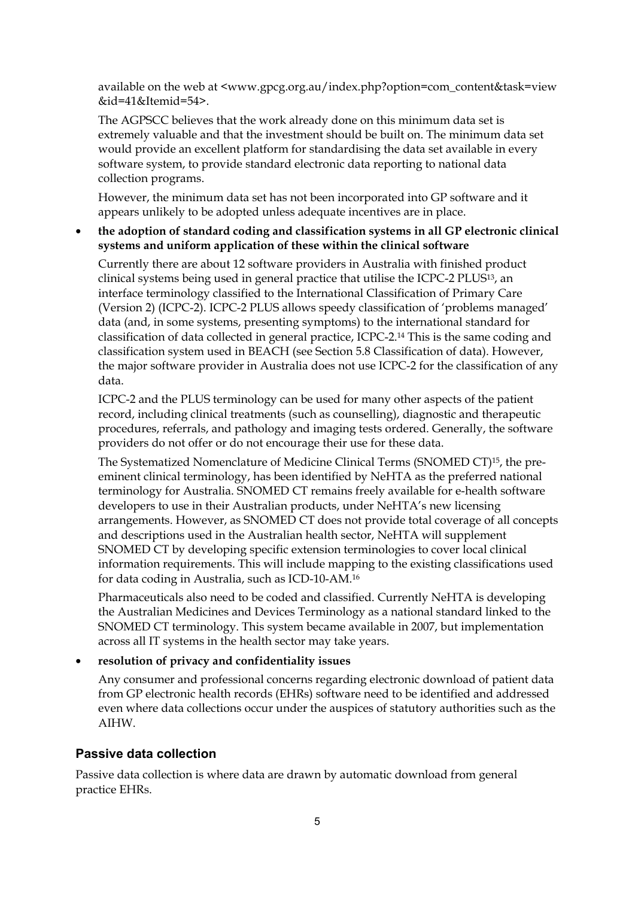available on the web at <www.gpcg.org.au/index.php?option*=*com\_content&task=view &id=41&Itemid=54>.

 The AGPSCC believes that the work already done on this minimum data set is extremely valuable and that the investment should be built on. The minimum data set would provide an excellent platform for standardising the data set available in every software system, to provide standard electronic data reporting to national data collection programs.

 However, the minimum data set has not been incorporated into GP software and it appears unlikely to be adopted unless adequate incentives are in place.

#### • **the adoption of standard coding and classification systems in all GP electronic clinical systems and uniform application of these within the clinical software**

 Currently there are about 12 software providers in Australia with finished product clinical systems being used in general practice that utilise the ICPC-2 PLUS13, an interface terminology classified to the International Classification of Primary Care (Version 2) (ICPC-2). ICPC-2 PLUS allows speedy classification of 'problems managed' data (and, in some systems, presenting symptoms) to the international standard for classification of data collected in general practice, ICPC-2.14 This is the same coding and classification system used in BEACH (see Section 5.8 Classification of data). However, the major software provider in Australia does not use ICPC-2 for the classification of any data.

 ICPC-2 and the PLUS terminology can be used for many other aspects of the patient record, including clinical treatments (such as counselling), diagnostic and therapeutic procedures, referrals, and pathology and imaging tests ordered. Generally, the software providers do not offer or do not encourage their use for these data.

 The Systematized Nomenclature of Medicine Clinical Terms (SNOMED CT)15, the preeminent clinical terminology, has been identified by NeHTA as the preferred national terminology for Australia. SNOMED CT remains freely available for e-health software developers to use in their Australian products, under NeHTA's new licensing arrangements. However, as SNOMED CT does not provide total coverage of all concepts and descriptions used in the Australian health sector, NeHTA will supplement SNOMED CT by developing specific extension terminologies to cover local clinical information requirements. This will include mapping to the existing classifications used for data coding in Australia, such as ICD-10-AM.16

 Pharmaceuticals also need to be coded and classified. Currently NeHTA is developing the Australian Medicines and Devices Terminology as a national standard linked to the SNOMED CT terminology. This system became available in 2007, but implementation across all IT systems in the health sector may take years.

#### • **resolution of privacy and confidentiality issues**

 Any consumer and professional concerns regarding electronic download of patient data from GP electronic health records (EHRs) software need to be identified and addressed even where data collections occur under the auspices of statutory authorities such as the AIHW.

#### **Passive data collection**

Passive data collection is where data are drawn by automatic download from general practice EHRs.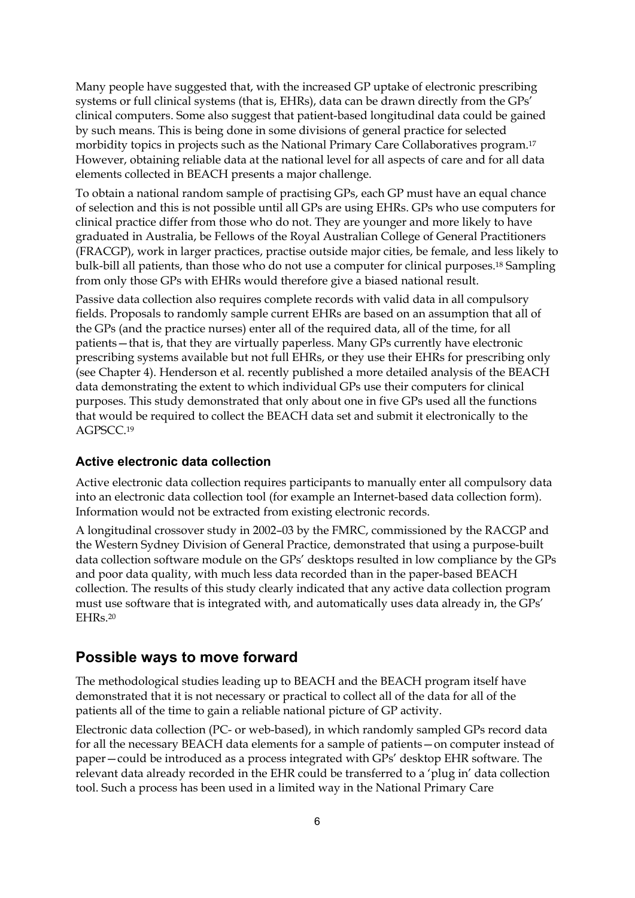Many people have suggested that, with the increased GP uptake of electronic prescribing systems or full clinical systems (that is, EHRs), data can be drawn directly from the GPs' clinical computers. Some also suggest that patient-based longitudinal data could be gained by such means. This is being done in some divisions of general practice for selected morbidity topics in projects such as the National Primary Care Collaboratives program.17 However, obtaining reliable data at the national level for all aspects of care and for all data elements collected in BEACH presents a major challenge.

To obtain a national random sample of practising GPs, each GP must have an equal chance of selection and this is not possible until all GPs are using EHRs. GPs who use computers for clinical practice differ from those who do not. They are younger and more likely to have graduated in Australia, be Fellows of the Royal Australian College of General Practitioners (FRACGP), work in larger practices, practise outside major cities, be female, and less likely to bulk-bill all patients, than those who do not use a computer for clinical purposes.18 Sampling from only those GPs with EHRs would therefore give a biased national result.

Passive data collection also requires complete records with valid data in all compulsory fields. Proposals to randomly sample current EHRs are based on an assumption that all of the GPs (and the practice nurses) enter all of the required data, all of the time, for all patients—that is, that they are virtually paperless. Many GPs currently have electronic prescribing systems available but not full EHRs, or they use their EHRs for prescribing only (see Chapter 4). Henderson et al. recently published a more detailed analysis of the BEACH data demonstrating the extent to which individual GPs use their computers for clinical purposes. This study demonstrated that only about one in five GPs used all the functions that would be required to collect the BEACH data set and submit it electronically to the AGPSCC.19

#### **Active electronic data collection**

Active electronic data collection requires participants to manually enter all compulsory data into an electronic data collection tool (for example an Internet-based data collection form). Information would not be extracted from existing electronic records.

A longitudinal crossover study in 2002–03 by the FMRC, commissioned by the RACGP and the Western Sydney Division of General Practice, demonstrated that using a purpose-built data collection software module on the GPs' desktops resulted in low compliance by the GPs and poor data quality, with much less data recorded than in the paper-based BEACH collection. The results of this study clearly indicated that any active data collection program must use software that is integrated with, and automatically uses data already in, the GPs' EHRs.20

#### **Possible ways to move forward**

The methodological studies leading up to BEACH and the BEACH program itself have demonstrated that it is not necessary or practical to collect all of the data for all of the patients all of the time to gain a reliable national picture of GP activity.

Electronic data collection (PC- or web-based), in which randomly sampled GPs record data for all the necessary BEACH data elements for a sample of patients—on computer instead of paper—could be introduced as a process integrated with GPs' desktop EHR software. The relevant data already recorded in the EHR could be transferred to a 'plug in' data collection tool. Such a process has been used in a limited way in the National Primary Care